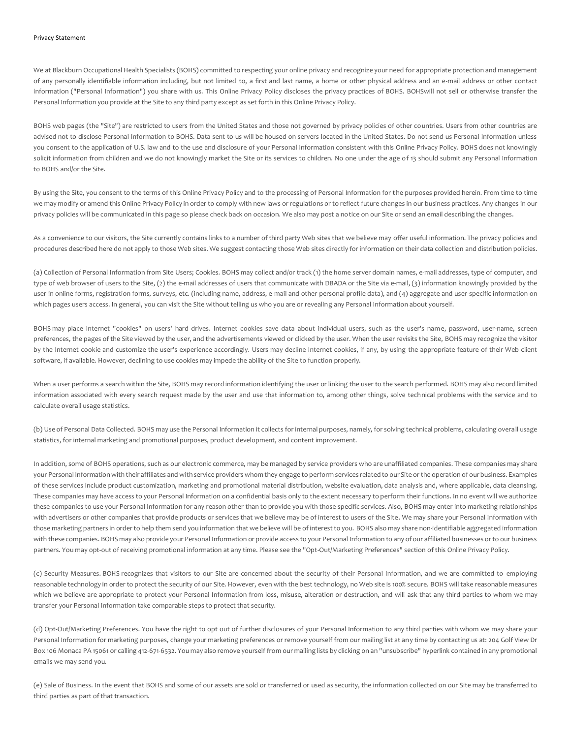We at Blackburn Occupational Health Specialists (BOHS) committed to respecting your online privacy and recognize your need for appropriate protection and management of any personally identifiable information including, but not limited to, a first and last name, a home or other physical address and an e-mail address or other contact information ("Personal Information") you share with us. This Online Privacy Policy discloses the privacy practices of BOHS. BOHSwill not sell or otherwise transfer the Personal Information you provide at the Site to any third party except as set forth in this Online Privacy Policy.

BOHS web pages (the "Site") are restricted to users from the United States and those not governed by privacy policies of other countries. Users from other countries are advised not to disclose Personal Information to BOHS. Data sent to us will be housed on servers located in the United States. Do not send us Personal Information unless you consent to the application of U.S. law and to the use and disclosure of your Personal Information consistent with this Online Privacy Policy. BOHS does not knowingly solicit information from children and we do not knowingly market the Site or its services to children. No one under the age of 13 should submit any Personal Information to BOHS and/or the Site.

By using the Site, you consent to the terms of this Online Privacy Policy and to the processing of Personal Information for the purposes provided herein. From time to time we may modify or amend this Online Privacy Policy in order to comply with new laws or regulations or to reflect future changes in our business practices. Any changes in our privacy policies will be communicated in this page so please check back on occasion. We also may post a notice on our Site or send an email describing the changes.

As a convenience to our visitors, the Site currently contains links to a number of third party Web sites that we believe may offer useful information. The privacy policies and procedures described here do not apply to those Web sites. We suggest contacting those Web sites directly for information on their data collection and distribution policies.

(a) Collection of Personal Information from Site Users; Cookies. BOHS may collect and/or track (1) the home server domain names, e-mail addresses, type of computer, and type of web browser of users to the Site, (2) the e-mail addresses of users that communicate with DBADA or the Site via e-mail, (3) information knowingly provided by the user in online forms, registration forms, surveys, etc. (including name, address, e-mail and other personal profile data), and (4) aggregate and user-specific information on which pages users access. In general, you can visit the Site without telling us who you are or revealing any Personal Information about yourself.

BOHS may place Internet "cookies" on users' hard drives. Internet cookies save data about individual users, such as the user's name, password, user-name, screen preferences, the pages of the Site viewed by the user, and the advertisements viewed or clicked by the user. When the user revisits the Site, BOHS may recognize the visitor by the Internet cookie and customize the user's experience accordingly. Users may decline Internet cookies, if any, by using the appropriate feature of their Web client software, if available. However, declining to use cookies may impede the ability of the Site to function properly.

When a user performs a search within the Site, BOHS may record information identifying the user or linking the user to the search performed. BOHS may also record limited information associated with every search request made by the user and use that information to, among other things, solve technical problems with the service and to calculate overall usage statistics.

(b) Use of Personal Data Collected. BOHS may use the Personal Information it collects for internal purposes, namely, for solving technical problems, calculating overall usage statistics, for internal marketing and promotional purposes, product development, and content improvement.

In addition, some of BOHS operations, such as our electronic commerce, may be managed by service providers who are unaffiliated companies. These companies may share your Personal Information with their affiliates and with service providers whom they engage to perform services related to our Site or the operation of our business. Examples of these services include product customization, marketing and promotional material distribution, website evaluation, data analysis and, where applicable, data cleansing. These companies may have access to your Personal Information on a confidential basis only to the extent necessary to perform their functions. In no event will we authorize these companies to use your Personal Information for any reason other than to provide you with those specific services. Also, BOHS may enter into marketing relationships with advertisers or other companies that provide products or services that we believe may be of interest to users of the Site. We may share your Personal Information with those marketing partners in order to help them send you information that we believe will be of interest to you. BOHS also may share non-identifiable aggregated information with these companies. BOHS may also provide your Personal Information or provide access to your Personal Information to any of our affiliated businesses or to our business partners. You may opt-out of receiving promotional information at any time. Please see the "Opt-Out/Marketing Preferences" section of this Online Privacy Policy.

(c) Security Measures. BOHS recognizes that visitors to our Site are concerned about the security of their Personal Information, and we are committed to employing reasonable technology in order to protect the security of our Site. However, even with the best technology, no Web site is 100% secure. BOHS will take reasonable measures which we believe are appropriate to protect your Personal Information from loss, misuse, alteration or destruction, and will ask that any third parties to whom we may transfer your Personal Information take comparable steps to protect that security.

(d) Opt-Out/Marketing Preferences. You have the right to opt out of further disclosures of your Personal Information to any third parties with whom we may share your Personal Information for marketing purposes, change your marketing preferences or remove yourself from our mailing list at any time by contacting us at: 204 Golf View Dr Box 106 Monaca PA 15061 or calling 412-671-6532. You may also remove yourself from our mailing lists by clicking on an "unsubscribe" hyperlink contained in any promotional emails we may send you.

(e) Sale of Business. In the event that BOHS and some of our assets are sold or transferred or used as security, the information collected on our Site may be transferred to third parties as part of that transaction.